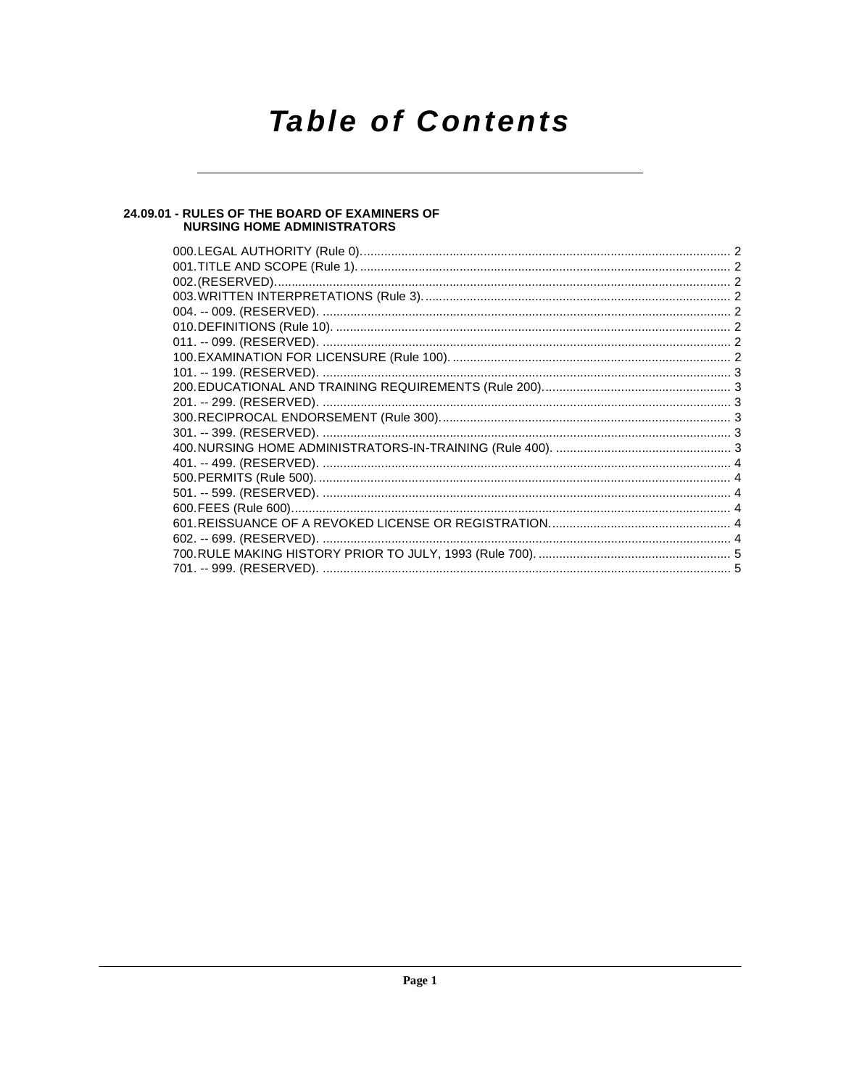# **Table of Contents**

# 24.09.01 - RULES OF THE BOARD OF EXAMINERS OF<br>NURSING HOME ADMINISTRATORS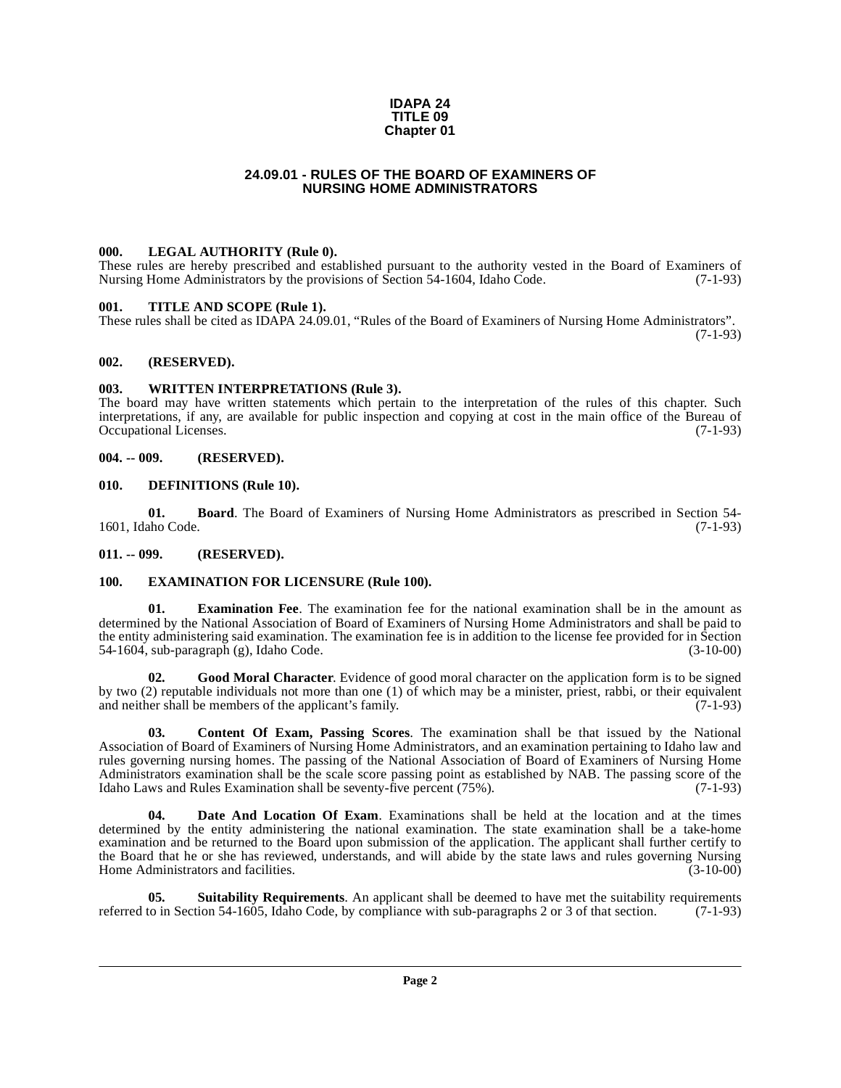#### **IDAPA 24 TITLE 09 Chapter 01**

# **24.09.01 - RULES OF THE BOARD OF EXAMINERS OF NURSING HOME ADMINISTRATORS**

# <span id="page-1-1"></span><span id="page-1-0"></span>**000. LEGAL AUTHORITY (Rule 0).**

These rules are hereby prescribed and established pursuant to the authority vested in the Board of Examiners of Nursing Home Administrators by the provisions of Section 54-1604, Idaho Code. (7-1-93)

# <span id="page-1-2"></span>**001. TITLE AND SCOPE (Rule 1).**

These rules shall be cited as IDAPA 24.09.01, "Rules of the Board of Examiners of Nursing Home Administrators". (7-1-93)

# <span id="page-1-3"></span>**002. (RESERVED).**

# <span id="page-1-4"></span>**003. WRITTEN INTERPRETATIONS (Rule 3).**

The board may have written statements which pertain to the interpretation of the rules of this chapter. Such interpretations, if any, are available for public inspection and copying at cost in the main office of the Bureau of Occupational Licenses. (7-1-93)

# <span id="page-1-5"></span>**004. -- 009. (RESERVED).**

# <span id="page-1-12"></span><span id="page-1-6"></span>**010. DEFINITIONS (Rule 10).**

<span id="page-1-9"></span>**01. Board**. The Board of Examiners of Nursing Home Administrators as prescribed in Section 54- 1601, Idaho Code. (7-1-93)

# <span id="page-1-7"></span>**011. -- 099. (RESERVED).**

# <span id="page-1-13"></span><span id="page-1-8"></span>**100. EXAMINATION FOR LICENSURE (Rule 100).**

**01. Examination Fee**. The examination fee for the national examination shall be in the amount as determined by the National Association of Board of Examiners of Nursing Home Administrators and shall be paid to the entity administering said examination. The examination fee is in addition to the license fee provided for in Section 54-1604, sub-paragraph (g), Idaho Code. (3-10-00)

<span id="page-1-14"></span>**02. Good Moral Character**. Evidence of good moral character on the application form is to be signed by two (2) reputable individuals not more than one (1) of which may be a minister, priest, rabbi, or their equivalent and neither shall be members of the applicant's family. and neither shall be members of the applicant's family.

<span id="page-1-10"></span>**03. Content Of Exam, Passing Scores**. The examination shall be that issued by the National Association of Board of Examiners of Nursing Home Administrators, and an examination pertaining to Idaho law and rules governing nursing homes. The passing of the National Association of Board of Examiners of Nursing Home Administrators examination shall be the scale score passing point as established by NAB. The passing score of the Idaho Laws and Rules Examination shall be seventy-five percent (75%). (7-1-93) Idaho Laws and Rules Examination shall be seventy-five percent  $(75\%)$ .

<span id="page-1-11"></span>**04. Date And Location Of Exam**. Examinations shall be held at the location and at the times determined by the entity administering the national examination. The state examination shall be a take-home examination and be returned to the Board upon submission of the application. The applicant shall further certify to the Board that he or she has reviewed, understands, and will abide by the state laws and rules governing Nursing<br>Home Administrators and facilities. (3-10-00) Home Administrators and facilities.

<span id="page-1-15"></span>**05. Suitability Requirements**. An applicant shall be deemed to have met the suitability requirements referred to in Section 54-1605, Idaho Code, by compliance with sub-paragraphs 2 or 3 of that section. (7-1-93)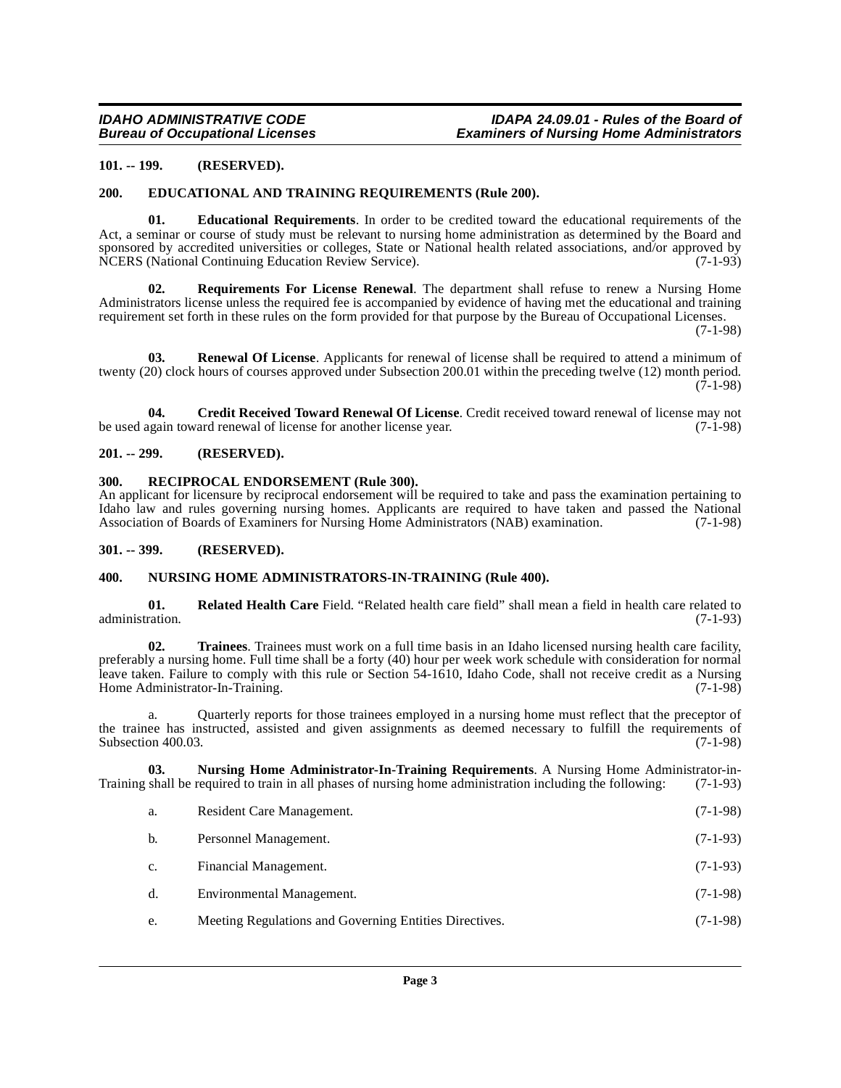# <span id="page-2-0"></span>**101. -- 199. (RESERVED).**

### <span id="page-2-7"></span><span id="page-2-1"></span>**200. EDUCATIONAL AND TRAINING REQUIREMENTS (Rule 200).**

<span id="page-2-8"></span>**01. Educational Requirements**. In order to be credited toward the educational requirements of the Act, a seminar or course of study must be relevant to nursing home administration as determined by the Board and sponsored by accredited universities or colleges, State or National health related associations, and/or approved by NCERS (National Continuing Education Review Service). (7-1-93)

<span id="page-2-14"></span>**Requirements For License Renewal**. The department shall refuse to renew a Nursing Home Administrators license unless the required fee is accompanied by evidence of having met the educational and training requirement set forth in these rules on the form provided for that purpose by the Bureau of Occupational Licenses.

(7-1-98)

<span id="page-2-13"></span>**03. Renewal Of License**. Applicants for renewal of license shall be required to attend a minimum of twenty (20) clock hours of courses approved under Subsection 200.01 within the preceding twelve (12) month period.  $(7-1-98)$ 

<span id="page-2-6"></span>**04. Credit Received Toward Renewal Of License**. Credit received toward renewal of license may not be used again toward renewal of license for another license year. (7-1-98)

# <span id="page-2-2"></span>**201. -- 299. (RESERVED).**

#### <span id="page-2-11"></span><span id="page-2-3"></span>**300. RECIPROCAL ENDORSEMENT (Rule 300).**

An applicant for licensure by reciprocal endorsement will be required to take and pass the examination pertaining to Idaho law and rules governing nursing homes. Applicants are required to have taken and passed the National Association of Boards of Examiners for Nursing Home Administrators (NAB) examination. (7-1-98) Association of Boards of Examiners for Nursing Home Administrators (NAB) examination.

#### <span id="page-2-4"></span>**301. -- 399. (RESERVED).**

# <span id="page-2-10"></span><span id="page-2-5"></span>**400. NURSING HOME ADMINISTRATORS-IN-TRAINING (Rule 400).**

<span id="page-2-12"></span>**01. Related Health Care** Field. "Related health care field" shall mean a field in health care related to administration.

<span id="page-2-15"></span>**02. Trainees**. Trainees must work on a full time basis in an Idaho licensed nursing health care facility, preferably a nursing home. Full time shall be a forty (40) hour per week work schedule with consideration for normal leave taken. Failure to comply with this rule or Section 54-1610, Idaho Code, shall not receive credit as a Nursing Home Administrator-In-Training. (7-1-98)

a. Quarterly reports for those trainees employed in a nursing home must reflect that the preceptor of the trainee has instructed, assisted and given assignments as deemed necessary to fulfill the requirements of Subsection 400.03. (7-1-98)

**03.** Nursing Home Administrator-In-Training Requirements. A Nursing Home Administrator-in-<br>shall be required to train in all phases of nursing home administration including the following: (7-1-93) Training shall be required to train in all phases of nursing home administration including the following:

<span id="page-2-9"></span>

| a. | Resident Care Management.                              | $(7-1-98)$ |
|----|--------------------------------------------------------|------------|
| b. | Personnel Management.                                  | $(7-1-93)$ |
| c. | Financial Management.                                  | $(7-1-93)$ |
| d. | Environmental Management.                              | $(7-1-98)$ |
| e. | Meeting Regulations and Governing Entities Directives. | $(7-1-98)$ |
|    |                                                        |            |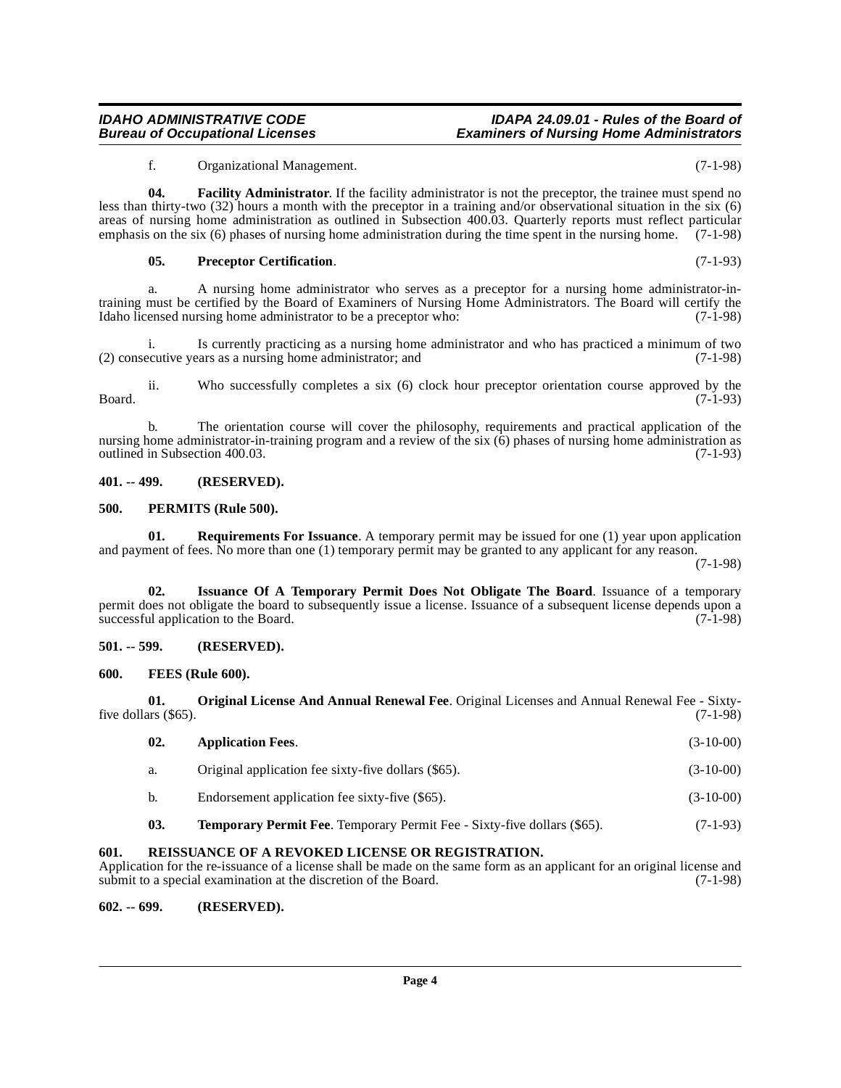<span id="page-3-7"></span>f. Organizational Management. (7-1-98)

**04.** Facility Administrator. If the facility administrator is not the preceptor, the trainee must spend no less than thirty-two (32) hours a month with the preceptor in a training and/or observational situation in the six (6) areas of nursing home administration as outlined in Subsection 400.03. Quarterly reports must reflect particular emphasis on the six (6) phases of nursing home administration during the time spent in the nursing home. (7-1-98)

### <span id="page-3-12"></span>**05. Preceptor Certification**. (7-1-93)

a. A nursing home administrator who serves as a preceptor for a nursing home administrator-intraining must be certified by the Board of Examiners of Nursing Home Administrators. The Board will certify the Idaho licensed nursing home administrator to be a preceptor who: (7-1-98) Idaho licensed nursing home administrator to be a preceptor who:

Is currently practicing as a nursing home administrator and who has practiced a minimum of two (2) consecutive years as a nursing home administrator; and (7-1-98)

ii. Who successfully completes a six  $(6)$  clock hour preceptor orientation course approved by the  $(7-1-93)$ Board. (7-1-93)

b. The orientation course will cover the philosophy, requirements and practical application of the nursing home administrator-in-training program and a review of the six  $(6)$  phases of nursing home administration as outlined in Subsection 400.03.  $(7-1-93)$ outlined in Subsection 400.03.

# <span id="page-3-0"></span>**401. -- 499. (RESERVED).**

# <span id="page-3-11"></span><span id="page-3-1"></span>**500. PERMITS (Rule 500).**

<span id="page-3-14"></span>**01. Requirements For Issuance**. A temporary permit may be issued for one (1) year upon application and payment of fees. No more than one (1) temporary permit may be granted to any applicant for any reason.

(7-1-98)

<span id="page-3-9"></span>**02. Issuance Of A Temporary Permit Does Not Obligate The Board**. Issuance of a temporary permit does not obligate the board to subsequently issue a license. Issuance of a subsequent license depends upon a successful application to the Board.  $(7-1-98)$ 

# <span id="page-3-2"></span>**501. -- 599. (RESERVED).**

#### <span id="page-3-8"></span><span id="page-3-3"></span>**600. FEES (Rule 600).**

**01. Original License And Annual Renewal Fee**. Original Licenses and Annual Renewal Fee - Sixtyfive dollars  $(\$65)$ . (7-1-98)

<span id="page-3-15"></span><span id="page-3-10"></span><span id="page-3-6"></span>

| 02. | <b>Application Fees.</b>                                                       | $(3-10-00)$ |
|-----|--------------------------------------------------------------------------------|-------------|
| a.  | Original application fee sixty-five dollars (\$65).                            | $(3-10-00)$ |
| b.  | Endorsement application fee sixty-five (\$65).                                 | $(3-10-00)$ |
| 03. | <b>Temporary Permit Fee.</b> Temporary Permit Fee - Sixty-five dollars (\$65). | $(7-1-93)$  |

# <span id="page-3-13"></span><span id="page-3-4"></span>**601. REISSUANCE OF A REVOKED LICENSE OR REGISTRATION.**

Application for the re-issuance of a license shall be made on the same form as an applicant for an original license and submit to a special examination at the discretion of the Board. (7-1-98)

# <span id="page-3-5"></span>**602. -- 699. (RESERVED).**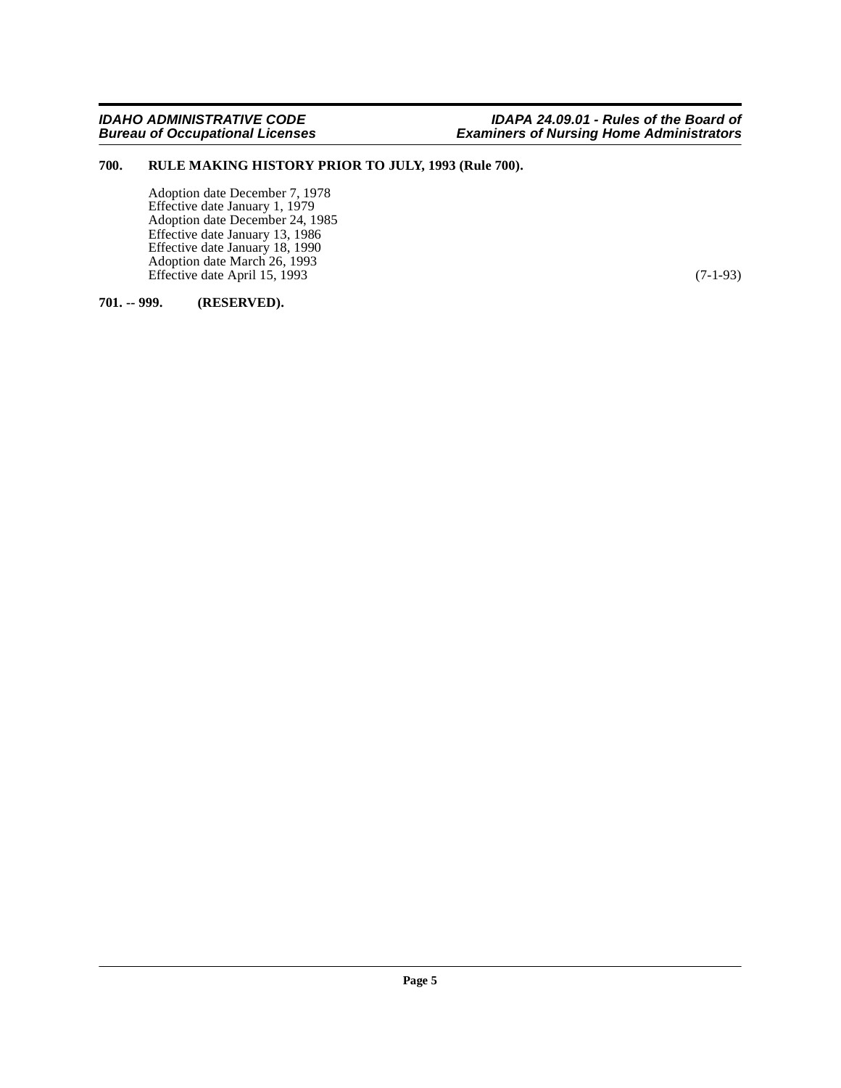# <span id="page-4-0"></span>**700. RULE MAKING HISTORY PRIOR TO JULY, 1993 (Rule 700).**

Adoption date December 7, 1978 Effective date January 1, 1979 Adoption date December 24, 1985 Effective date January 13, 1986 Effective date January 18, 1990 Adoption date March 26, 1993 Effective date April 15, 1993 (7-1-93)

# <span id="page-4-1"></span>**701. -- 999. (RESERVED).**